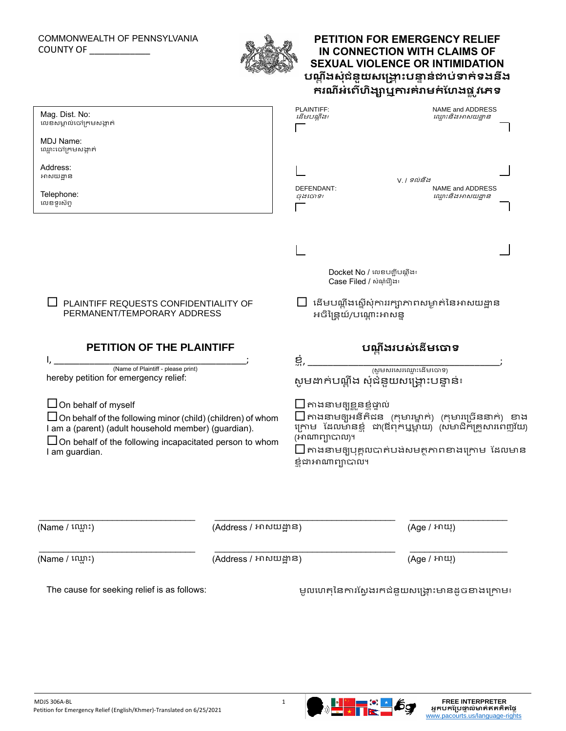## COMMONWEALTH OF PENNSYLVANIA COUNTY OF \_\_\_\_\_\_\_\_\_\_\_\_



## **PETITION FOR EMERGENCY RELIEF IN CONNECTION WITH CLAIMS OF SEXUAL VIOLENCE OR INTIMIDATION បណ្តតង ត ត ត សត ត ជតនតយ ត ត ត សង្គ្ត ោះ ត តតត តបន្ទតនត ត ត ត ជាប់ទាក់ទងន់ង ់ ់ ់់ ់ ់់ ់ ់ ់ ករណ្ត ត តត អ្់ព ់ ់ ់់ ហតងា ត ត ឬការគ់រាមក់ប្ែង ់ ់ ់ ់ ់់ ់ ផ្ត តវង្េទ ត តតត ត**

| Mag. Dist. No:<br>លេខសម្គាល់ចៅក្រមសង្កាត់                                                                                                                                                                                                    |                       | PLAINTIFF:<br>ដើមបណ្តឹង៖                                                                                                                                                                                                                                       | NAME and ADDRESS<br>ឈ្មោះនិងអាសយដ្ឋាន           |  |
|----------------------------------------------------------------------------------------------------------------------------------------------------------------------------------------------------------------------------------------------|-----------------------|----------------------------------------------------------------------------------------------------------------------------------------------------------------------------------------------------------------------------------------------------------------|-------------------------------------------------|--|
| MDJ Name:<br>ឈ្មោះចៅក្រមសង្កាត់                                                                                                                                                                                                              |                       |                                                                                                                                                                                                                                                                |                                                 |  |
| Address:<br>អាសយដ្ឋាន                                                                                                                                                                                                                        |                       |                                                                                                                                                                                                                                                                |                                                 |  |
| Telephone:<br>លេខទូរស័ព្ទ                                                                                                                                                                                                                    |                       | NAME and ADDRESS<br>DEFENDANT:<br>ឈ្មោះនិងអាសយដ្ឋាន<br>ចុងចោទ៖                                                                                                                                                                                                 |                                                 |  |
|                                                                                                                                                                                                                                              |                       |                                                                                                                                                                                                                                                                |                                                 |  |
|                                                                                                                                                                                                                                              |                       |                                                                                                                                                                                                                                                                |                                                 |  |
|                                                                                                                                                                                                                                              |                       | Docket No / លេខបញ្ជីបណ្ឌីង៖<br>Case Filed / សំណុំពឿង៖                                                                                                                                                                                                          |                                                 |  |
| PLAINTIFF REQUESTS CONFIDENTIALITY OF<br>PERMANENT/TEMPORARY ADDRESS                                                                                                                                                                         |                       | ដើមបណ្តឹងស្តើសុំការរក្សាភាពសម្ងាត់នៃអាសយដ្ឋាន<br>អចិន្រ្ទៃយ៍/បណ្តោះអាសន្ន                                                                                                                                                                                      |                                                 |  |
| PETITION OF THE PLAINTIFF                                                                                                                                                                                                                    |                       |                                                                                                                                                                                                                                                                | បណ្តឹងរបស់នើមចោទ                                |  |
|                                                                                                                                                                                                                                              |                       | ಲ್ಲೆ,                                                                                                                                                                                                                                                          |                                                 |  |
| (Name of Plaintiff - please print)<br>hereby petition for emergency relief:                                                                                                                                                                  |                       | សូមដាក់បណ្តឹង សុំជំនួយសង្គ្រោះបន្ទាន់៖                                                                                                                                                                                                                         |                                                 |  |
| $\Box$ On behalf of myself<br>$\Box$ On behalf of the following minor (child) (children) of whom<br>I am a (parent) (adult household member) (guardian).<br>$\Box$ On behalf of the following incapacitated person to whom<br>I am guardian. |                       | $\square$ កាងនាមឲ្យខ្លួនខ្ញុំផ្ទាល់<br>$\Box$ តាងនាមឲ្យអនីតិជន (កុមារម្នាក់) (កុមារច្រើននាក់) ខាង<br>ក្រោម ដែលមានខ្លំ ដា(ឳពុកឬម្តាយ) (សមាជិកគ្រួសារពេញវ័យ)<br>(អាណាព្យាបាល)។<br>$\square$ តាងនាមឲ្យបុគ្គលបាត់បង់សមត្ថភាពខាងក្រោម ដែលមាន<br>ខ្ញុំដាអាណាព្យាបាល។ |                                                 |  |
| (Name / ឈ្មោះ)                                                                                                                                                                                                                               | (Address / អាសយដ្ឋាន) |                                                                                                                                                                                                                                                                | (Age / អាយុ)                                    |  |
| (Name / ឈ្មោះ)                                                                                                                                                                                                                               | (Address / អាសយដ្ឋាន) |                                                                                                                                                                                                                                                                | (Age / អាយុ)                                    |  |
| The cause for seeking relief is as follows:                                                                                                                                                                                                  |                       |                                                                                                                                                                                                                                                                | មូលហេតុនៃការស្វែងរកជំនួយសង្គ្រោះមានដូចខាងក្រោម៖ |  |
|                                                                                                                                                                                                                                              |                       |                                                                                                                                                                                                                                                                |                                                 |  |